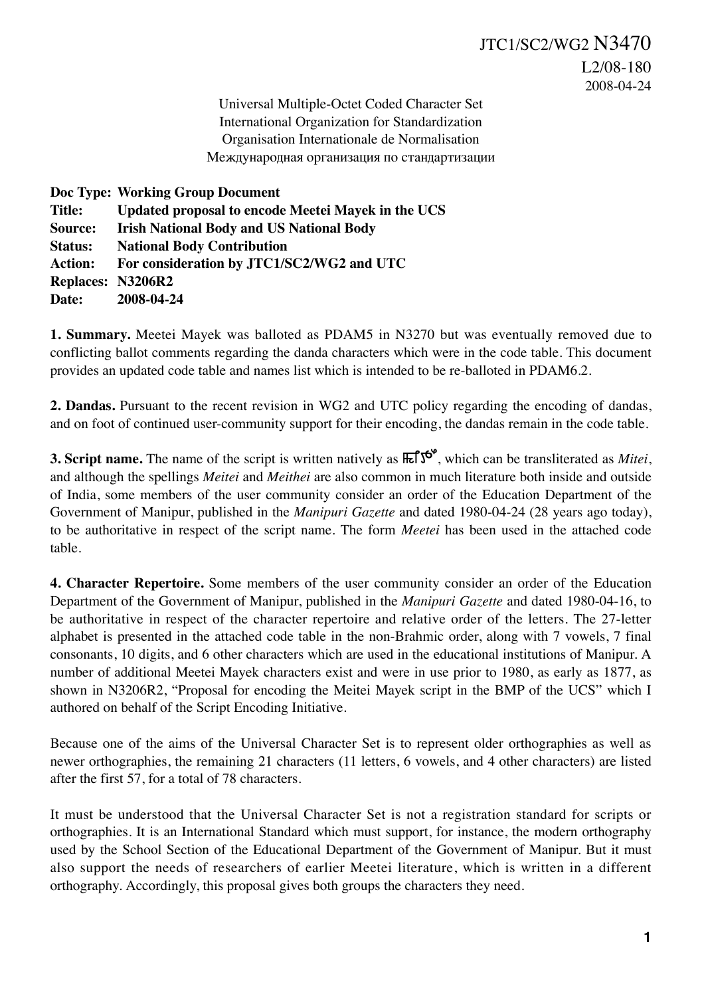JTC1/SC2/WG2 N3470 L2/08-180 2008-04-24

Universal Multiple-Octet Coded Character Set International Organization for Standardization Organisation Internationale de Normalisation Международная организация по стандартизации

| Doc Type: Working Group Document                   |
|----------------------------------------------------|
| Updated proposal to encode Meetei Mayek in the UCS |
| <b>Irish National Body and US National Body</b>    |
| <b>National Body Contribution</b>                  |
| For consideration by JTC1/SC2/WG2 and UTC          |
| <b>Replaces: N3206R2</b>                           |
| 2008-04-24                                         |
|                                                    |

**1. Summary.** Meetei Mayek was balloted as PDAM5 in N3270 but was eventually removed due to conflicting ballot comments regarding the danda characters which were in the code table. This document provides an updated code table and names list which is intended to be re-balloted in PDAM6.2.

**2. Dandas.** Pursuant to the recent revision in WG2 and UTC policy regarding the encoding of dandas, and on foot of continued user-community support for their encoding, the dandas remain in the code table.

**3. Script name.** The name of the script is written natively as  $\text{Ref5}^{\text{c}}$ , which can be transliterated as *Mitei*, and although the spellings *Meitei* and *Meithei* are also common in much literature both inside and outside of India, some members of the user community consider an order of the Education Department of the Government of Manipur, published in the *Manipuri Gazette* and dated 1980-04-24 (28 years ago today), to be authoritative in respect of the script name. The form *Meetei* has been used in the attached code table.

**4. Character Repertoire.** Some members of the user community consider an order of the Education Department of the Government of Manipur, published in the *Manipuri Gazette* and dated 1980-04-16, to be authoritative in respect of the character repertoire and relative order of the letters. The 27-letter alphabet is presented in the attached code table in the non-Brahmic order, along with 7 vowels, 7 final consonants, 10 digits, and 6 other characters which are used in the educational institutions of Manipur. A number of additional Meetei Mayek characters exist and were in use prior to 1980, as early as 1877, as shown in N3206R2, "Proposal for encoding the Meitei Mayek script in the BMP of the UCS" which I authored on behalf of the Script Encoding Initiative.

Because one of the aims of the Universal Character Set is to represent older orthographies as well as newer orthographies, the remaining 21 characters (11 letters, 6 vowels, and 4 other characters) are listed after the first 57, for a total of 78 characters.

It must be understood that the Universal Character Set is not a registration standard for scripts or orthographies. It is an International Standard which must support, for instance, the modern orthography used by the School Section of the Educational Department of the Government of Manipur. But it must also support the needs of researchers of earlier Meetei literature, which is written in a different orthography. Accordingly, this proposal gives both groups the characters they need.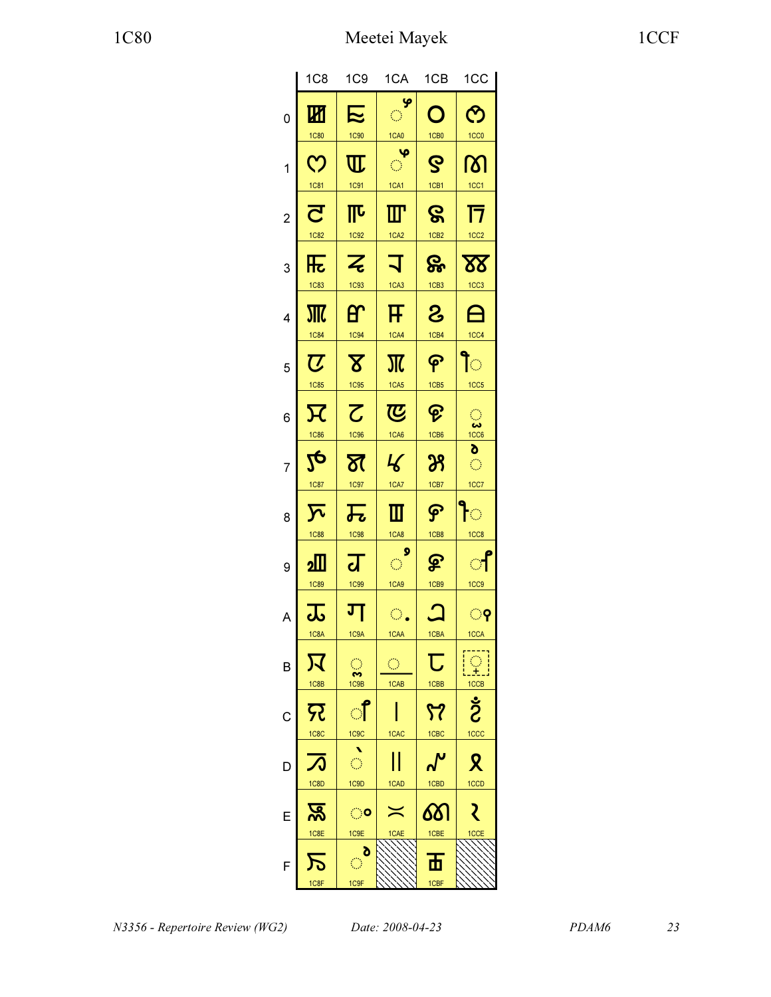|                | 1C <sub>8</sub>              | 1C9                                     | 1CA                                           | 1CB                                                       | 1CC                                 |
|----------------|------------------------------|-----------------------------------------|-----------------------------------------------|-----------------------------------------------------------|-------------------------------------|
| $\overline{0}$ | 凶                            | に                                       | $\frac{1}{2}$                                 | O                                                         | <u>ල</u>                            |
|                | 1C80                         | 1C90                                    | 1 <sub>CA0</sub>                              | 1CB0                                                      | 1CC <sub>0</sub>                    |
| 1              | $\overline{C}$               | $\overline{\mathbb{U}}$                 | $\frac{1}{\sqrt{2}}$                          | $\mathbf S$                                               | ကြ                                  |
|                | <u>1C81</u>                  | 1C91                                    | 1CAI                                          | 1CB1                                                      | 1CC1                                |
| $\overline{c}$ | $\overline{\mathbf{C}}$      | $\overline{\mathbb{I}^{\mathbf{L}}}$    | $\mathbf{I}\mathbf{I}$                        | ဇွ                                                        | $\overline{\mathsf{T}}$             |
|                | <b>1C82</b>                  | 1C92                                    | 1CA <sub>2</sub>                              | 1CB <sub>2</sub>                                          | 1CC <sub>2</sub>                    |
| 3              | 压                            | $\overline{\mathcal{Z}}$                | コ                                             | &                                                         | ${\bf \Omega}$                      |
|                | <b>1C83</b>                  | 1C93                                    | 1CA3                                          | 1CB3                                                      | 1CC3                                |
| 4              | 邪                            | <b>P</b>                                | F                                             | $\mathbf{S}$                                              | 白                                   |
|                | 1C84                         | 1C94                                    | <u>1CA4</u>                                   | 1CB4                                                      | 1CC <sub>4</sub>                    |
| 5              | $\overline{\boldsymbol{U}}$  | $\overline{\mathbf{X}}$                 | $\overline{\rm M}$                            | န                                                         | ਿ                                   |
|                | 1C85                         | 1C95                                    | 1CA5                                          | 1CB5                                                      | 1CC5                                |
| 6              | $\overline{\mathcal{R}}$     | $\overline{\mathcal{C}}$<br><b>1C96</b> | $\overline{\mathfrak{C}}$<br>1 <sub>CA6</sub> | ၉<br>1CB6                                                 |                                     |
| 7              | 1C86<br>$2\overline{c}$      | স্ত                                     | $\mathcal{L}$                                 | $\mathcal{B}% _{M_{1},M_{2}}^{\alpha,\beta}(\varepsilon)$ | $\pmb{\delta}$<br>$\langle \rangle$ |
| 8              | 1C87                         | 1C97                                    | <u>1CA7</u>                                   | 1CB7                                                      | 1CC7                                |
|                | $\overline{\Sigma}$          | $\overline{\bm{\mathcal{F}}_{\bm{c}}}$  | ▥                                             | ငှ                                                        | $\overline{\mathbb{C}}$             |
| 9              | <b>1C88</b>                  | 1C98                                    | 1CA8                                          | 1CB8                                                      | 1CC8                                |
|                | 2                            | $\overline{\mathbf{d}}$                 | ୣ                                             | $\mathbf{P}$                                              | ੀ                                   |
| A              | <b>1C89</b>                  | 1C <sub>99</sub>                        | 1CA9                                          | 1CB9                                                      | 1CC9                                |
|                | 忑                            | ग                                       | $\bigcirc$ .                                  | $\bm{\mathsf{\Omega}}$                                    | ଼ି                                  |
| B              | 1C8A<br>又                    | 1C9A<br>$\bigcirc$<br>S                 | 1CAA<br>$\bigcirc$                            | 1CBA<br>$\overline{\mathsf{U}}$                           | 1CCA<br>$\frac{1}{1}$               |
| C              | 1C8B<br>फ़्र                 | 1C9B<br><u>੍ਰ</u> ਿ                     | 1CAB                                          | 1CBB<br>57                                                | Ś                                   |
| D              | 1C8C                         | 1C9C                                    | 1CAC                                          | 1CBC                                                      | 1CCC                                |
|                | 万                            | $\frac{1}{\mathcal{O}}$                 | $\mathop{\text{  }}$                          | ୷                                                         | Ջ                                   |
| E              | 1C8D                         | 1C9D                                    | 1CAD                                          | 1CBD                                                      | 1CCD                                |
|                | ক্ত $\overline{\mathcal{S}}$ | ං                                       | $\asymp$                                      | ண                                                         | ₹                                   |
|                | 1C8E<br>万                    | 1C9E<br>ಿ                               | 1CAE                                          | 1CBE<br>$\overline{\mathbf{h}}$                           | 1CCE                                |
| F              | 1C8F                         | 1C9F                                    |                                               | 1CBF                                                      |                                     |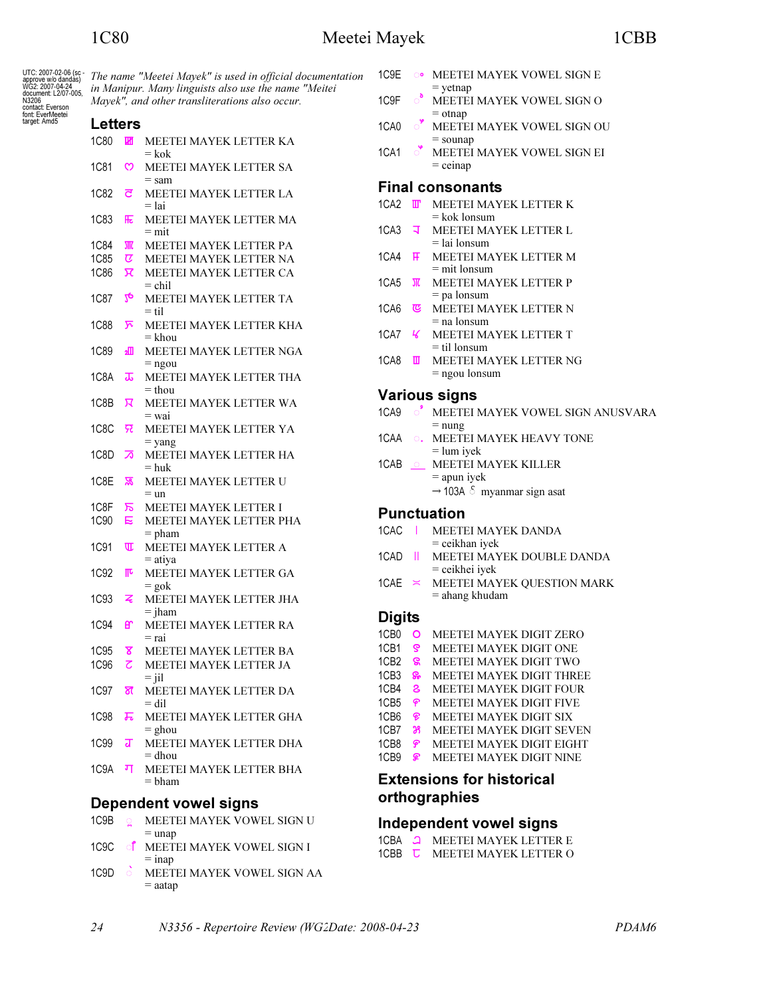UTC: 2007-02-06 (s approve w/o dandàs<br>WG2: 2007-04-24 document: L2/07-00:<br>N3206 N3200<br>contact: Everson<br>font: EverMeetei target: Amd5

|             |               | Mayek", and other transliterations also occur. |
|-------------|---------------|------------------------------------------------|
| Letters     |               |                                                |
| <b>1C80</b> | Ш             | MEETEI MAYEK LETTER KA<br>$= k \infty$         |
| 1C81        | ෆ             | MEETEI MAYEK LETTER SA                         |
| 1C82        | ਟ             | $=$ sam<br>MEETEI MAYEK LETTER LA<br>$=$ lai   |
| <b>1C83</b> | 厇             | MEETEI MAYEK LETTER MA<br>$=$ mit              |
| 1C84        |               | MEETEI MAYEK LETTER PA                         |
| 1C85        | $\sigma$      | MEETEI MAYEK LETTER NA                         |
| 1C86        | π             | MEETEI MAYEK LETTER CA<br>$=$ chil             |
| 1C87        | $2\mathbf{e}$ | <b>MEETEI MAYEK LETTER TA</b><br>$=$ til       |
| <b>1C88</b> | ঈ             | MEETEI MAYEK LETTER KHA<br>= khou              |
| 1C89        | ⅏             | MEETEI MAYEK LETTER NGA<br>$=$ ngou            |
| 1C8A        | ᠼ             | MEETEI MAYEK LETTER THA<br>$=$ thou            |
| 1C8B        | ਸ             | MEETEI MAYEK LETTER WA<br>= wai                |
| 1C8C        | न्न           | MEETEI MAYEK LETTER YA<br>$=$ yang             |
| 1C8D        | ∞             | MEETEI MAYEK LETTER HA<br>$=$ huk              |
| 1C8E        | ळ             | MEETEI MAYEK LETTER U<br>$=$ un                |
| 1C8F        | ᠷ             | <b>MEETEI MAYEK LETTER I</b>                   |
| 1C90        | E             | MEETEI MAYEK LETTER PHA<br>$=$ pham            |
| 1C91        | Œ             | MEETEI MAYEK LETTER A<br>$=$ atiya             |
| 1C92        | ℼ             | MEETEI MAYEK LETTER GA<br>$=$ gok              |
| 1C93        | z             | MEETEI MAYEK LETTER JHA<br>$=$ jham            |
| <b>1C94</b> | ள             | MEETEI MAYEK LETTER RA<br>= rai                |
| 1C95        | ४             | MEETEI MAYEK LETTER BA                         |
| 1C96        | 2             | MEETEI MAYEK LETTER JA<br>$=$ jil              |
| 1C97        | স্ত           | MEETEI MAYEK LETTER DA<br>$=$ dil              |
| 1C98        | ᠼ             | MEETEI MAYEK LETTER GHA<br>$=$ ghou            |
| 1C99        | ब             | MEETEI MAYEK LETTER DHA<br>= dhou              |
| 1C9A        | ग             | MEETEI MAYEK LETTER BHA<br>$=$ bham            |

- $1C9B$ **G** MEETEI MAYEK VOWEL SIGN U  $=$  unap
- 1C9C **f** MEETEI MAYEK VOWEL SIGN I  $=$  inap
- $1C9D \quad \circ$ MEETEI MAYEK VOWEL SIGN AA  $=$  aatap
- 1C9E **OO** MEETEI MAYEK VOWEL SIGN E  $=$  yetnap
- $\circ$ 1C<sub>9</sub>F MEETEI MAYEK VOWEL SIGN O  $=$  otnap
- $\circ$  MEETEI MAYEK VOWEL SIGN OU 1CA0  $=$  sounap
- $1CA1$ MEETEI MAYEK VOWEL SIGN EI  $=$  ceinap

#### **Final consonants**

- 1CA2 **T** MEETEI MAYEK LETTER K  $=$  kok lonsum
- $1C<sub>A3</sub>$ ਾੜ MEETEI MAYEK LETTER L  $=$ lai lonsum
- 1CA4 **F** MEETEI MAYEK LETTER M  $=$  mit lonsum
- 1CA5 **JI** MEETEI MAYEK LETTER P  $=$  pa lonsum
- 1CA6 **&** MEETEI MAYEK LETTER N  $=$  na lonsum
- 1CA7 K MEETEI MAYEK LETTER T  $=$  til lonsum
- 1CA8 **U** MEETEI MAYEK LETTER NG  $=$  ngou lonsum

#### **Various signs**

- 1CA9 O MEETEI MAYEK VOWEL SIGN ANUSVARA  $=$  nung
- 1CAA  $\circlearrowright$  . MEETEI MAYEK HEAVY TONE  $=$  lum iyek
- 1CAB \_\_ MEETEI MAYEK KILLER  $=$  apun iyek  $\rightarrow$  103A  $\delta$  myanmar sign asat

### **Punctuation**

- 1CAC | MEETEI MAYEK DANDA  $=$  ceikhan iyek
- 1CAD | MEETEI MAYEK DOUBLE DANDA  $=$  ceikhei iyek
- 1CAE  $\approx$  MEETEI MAYEK QUESTION MARK = ahang khudam

### **Digits**

- 1CB0 O MEETEI MAYEK DIGIT ZERO
- $1$ CB1  $\mathbf{S}$ MEETEI MAYEK DIGIT ONE
- 1CB2 & MEETEI MAYEK DIGIT TWO
- 1CB3 & MEETEI MAYEK DIGIT THREE
- 1CB4 & MEETEI MAYEK DIGIT FOUR
- 1CB5 ዋ MEETEI MAYEK DIGIT FIVE
- 1CB6  $\mathcal{P}$ MEETEI MAYEK DIGIT SIX
- 1CB7 38 MEETEI MAYEK DIGIT SEVEN MEETEI MAYEK DIGIT EIGHT 1 $CB8$   $\mathbf{P}$
- 1 $CB9 \quad \mathcal{P}$ MEETEI MAYEK DIGIT NINE

# **Extensions for historical** orthographies

### **Independent vowel signs**

|       | 1CBA <u>J</u> MEETEI MAYEK LETTER E  |
|-------|--------------------------------------|
| 1CBB. | $\overline{L}$ MEETEI MAYEK LETTER O |